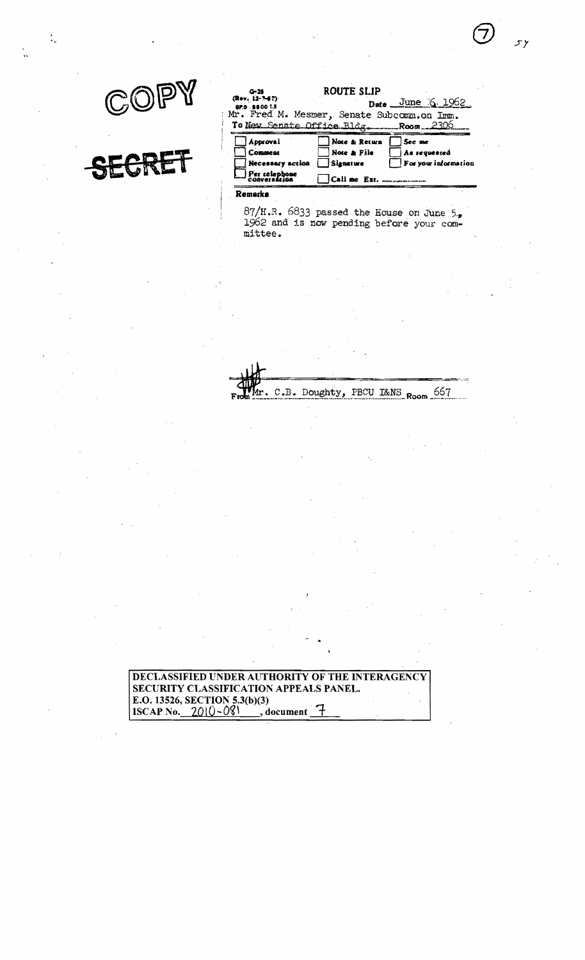۶۶



| $0 - 25$<br>(Rev. 12-7-67)<br>GP.O. 8800 1.3                                       | ROUTE SLIP                                | Date June 6. 1962                              |
|------------------------------------------------------------------------------------|-------------------------------------------|------------------------------------------------|
| Mr. Fred M. Mesmer, Senate Subcomm.on Imm.<br>To New Senate Office Bldg. Room 2306 |                                           |                                                |
| Approval<br>Comment<br>Necessary action<br>Per relephone                           | Note & Return<br>Note & File<br>Signature | See me<br>As requested<br>For your information |
| <b>CODVersázion</b><br>Remarks<br>- '                                              | Call me Ext.                              |                                                |

 $87/H.R.$  6833 passed the House on June 5.<br>1962 and is now pending before your committee.

C.B. Doughty, PBCU I&NS Room 667

DECLASSIFIED UNDER AUTHORITY OF THE INTERAGENCY SECURITY CLASSIFICATION APPEALS PANEL. E.O. 13526, SECTION 5.3(b)(3)<br>ISCAP No. 2010-081 d  $\Box$ , document  $\Box$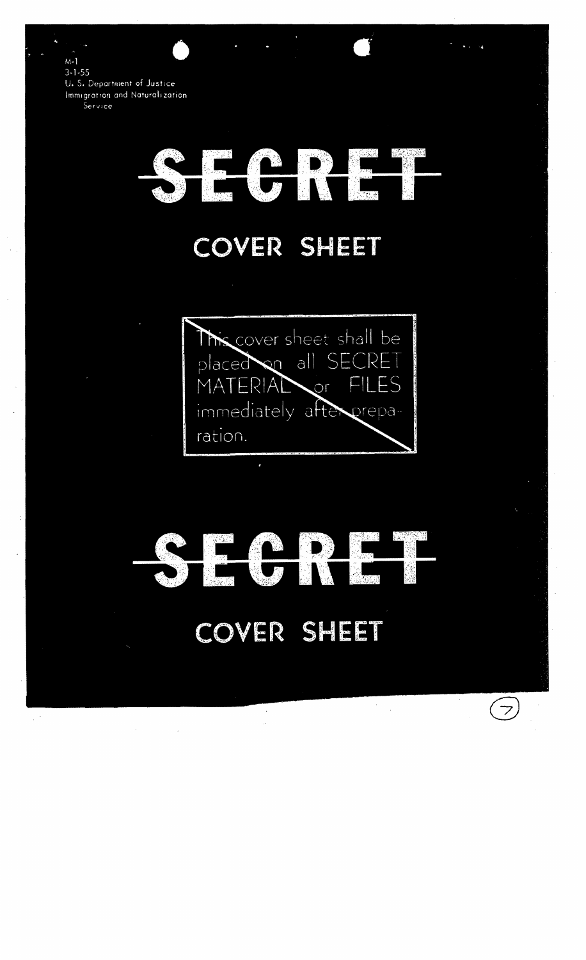$M-1$  $3 - 1 - 55$ U. S. Department of Justice Immigration and Naturalization. Service

## 22, 192

## COVER SHEET

The cover sheet shall be placed on all SEC  $\mathbb{R}$ MAT  $ERIAT$  $\Box$ ES  $\overline{or}$ immediately after preparation.

## COVER SHEET